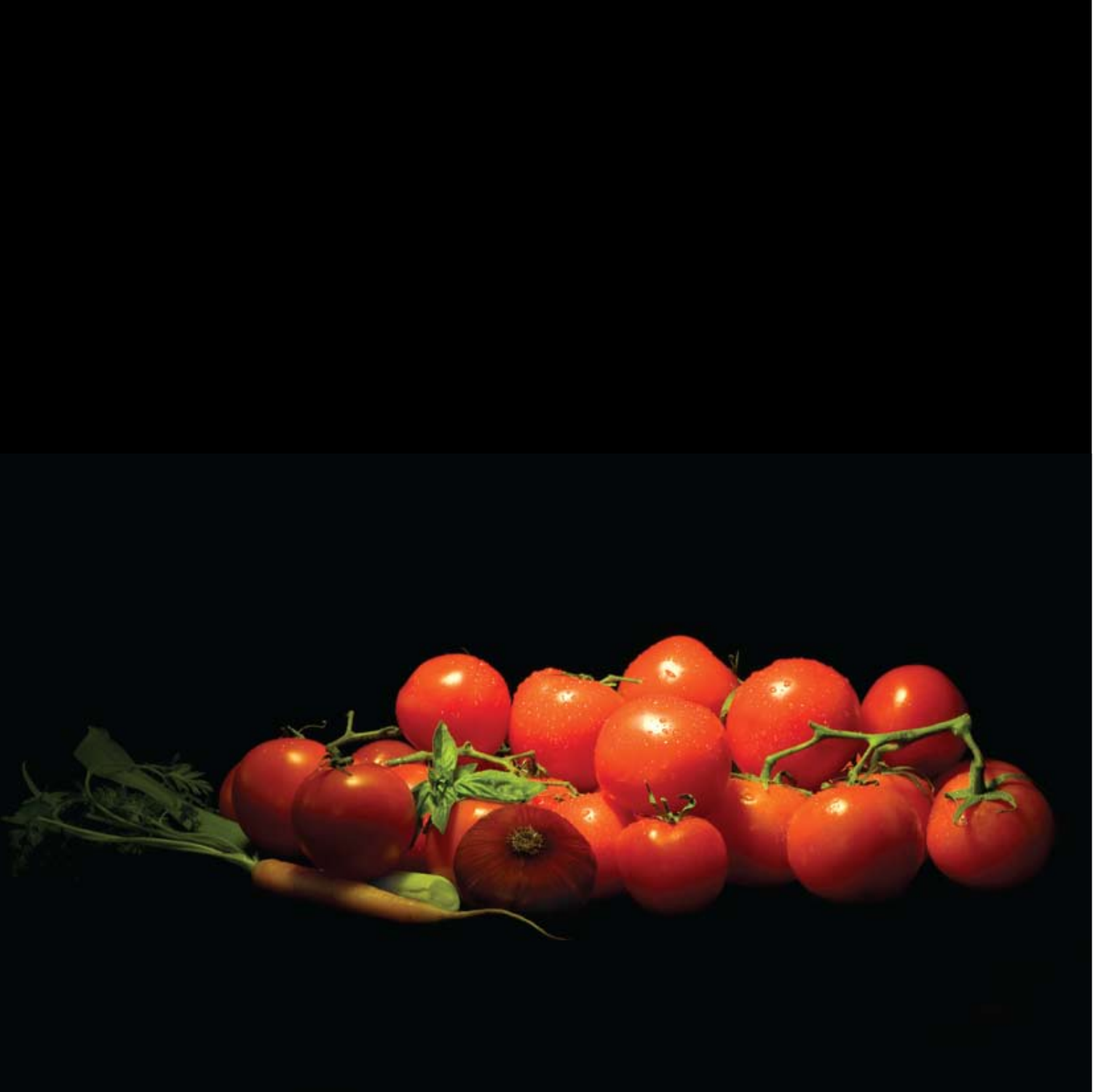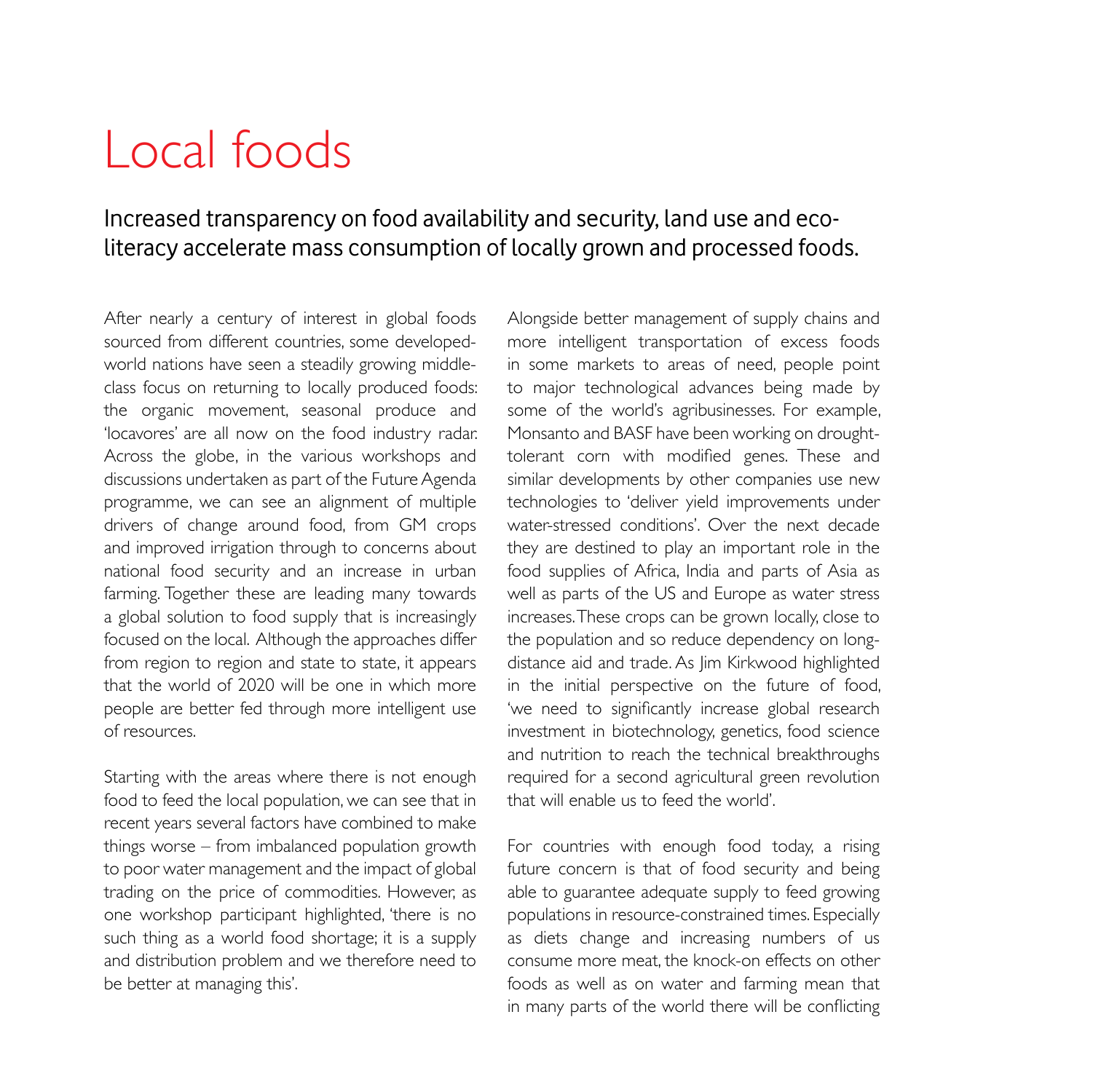## Local foods

## Increased transparency on food availability and security, land use and ecoliteracy accelerate mass consumption of locally grown and processed foods.

After nearly a century of interest in global foods sourced from different countries, some developedworld nations have seen a steadily growing middleclass focus on returning to locally produced foods: the organic movement, seasonal produce and 'locavores' are all now on the food industry radar. Across the globe, in the various workshops and discussions undertaken as part of the Future Agenda programme, we can see an alignment of multiple drivers of change around food, from GM crops and improved irrigation through to concerns about national food security and an increase in urban farming. Together these are leading many towards a global solution to food supply that is increasingly focused on the local. Although the approaches differ from region to region and state to state, it appears that the world of 2020 will be one in which more people are better fed through more intelligent use of resources.

Starting with the areas where there is not enough food to feed the local population, we can see that in recent years several factors have combined to make things worse – from imbalanced population growth to poor water management and the impact of global trading on the price of commodities. However, as one workshop participant highlighted, there is no such thing as a world food shortage; it is a supply and distribution problem and we therefore need to be better at managing this'.

Alongside better management of supply chains and more intelligent transportation of excess foods in some markets to areas of need, people point to major technological advances being made by some of the world's agribusinesses. For example, Monsanto and BASF have been working on droughttolerant corn with modified genes. These and similar developments by other companies use new technologies to 'deliver yield improvements under water-stressed conditions'. Over the next decade they are destined to play an important role in the food supplies of Africa, India and parts of Asia as well as parts of the US and Europe as water stress increases. These crops can be grown locally, close to the population and so reduce dependency on longdistance aid and trade. As Jim Kirkwood highlighted in the initial perspective on the future of food, 'we need to significantly increase global research investment in biotechnology, genetics, food science and nutrition to reach the technical breakthroughs required for a second agricultural green revolution that will enable us to feed the world'.

For countries with enough food today, a rising future concern is that of food security and being able to guarantee adequate supply to feed growing populations in resource-constrained times. Especially as diets change and increasing numbers of us consume more meat, the knock-on effects on other foods as well as on water and farming mean that in many parts of the world there will be conflicting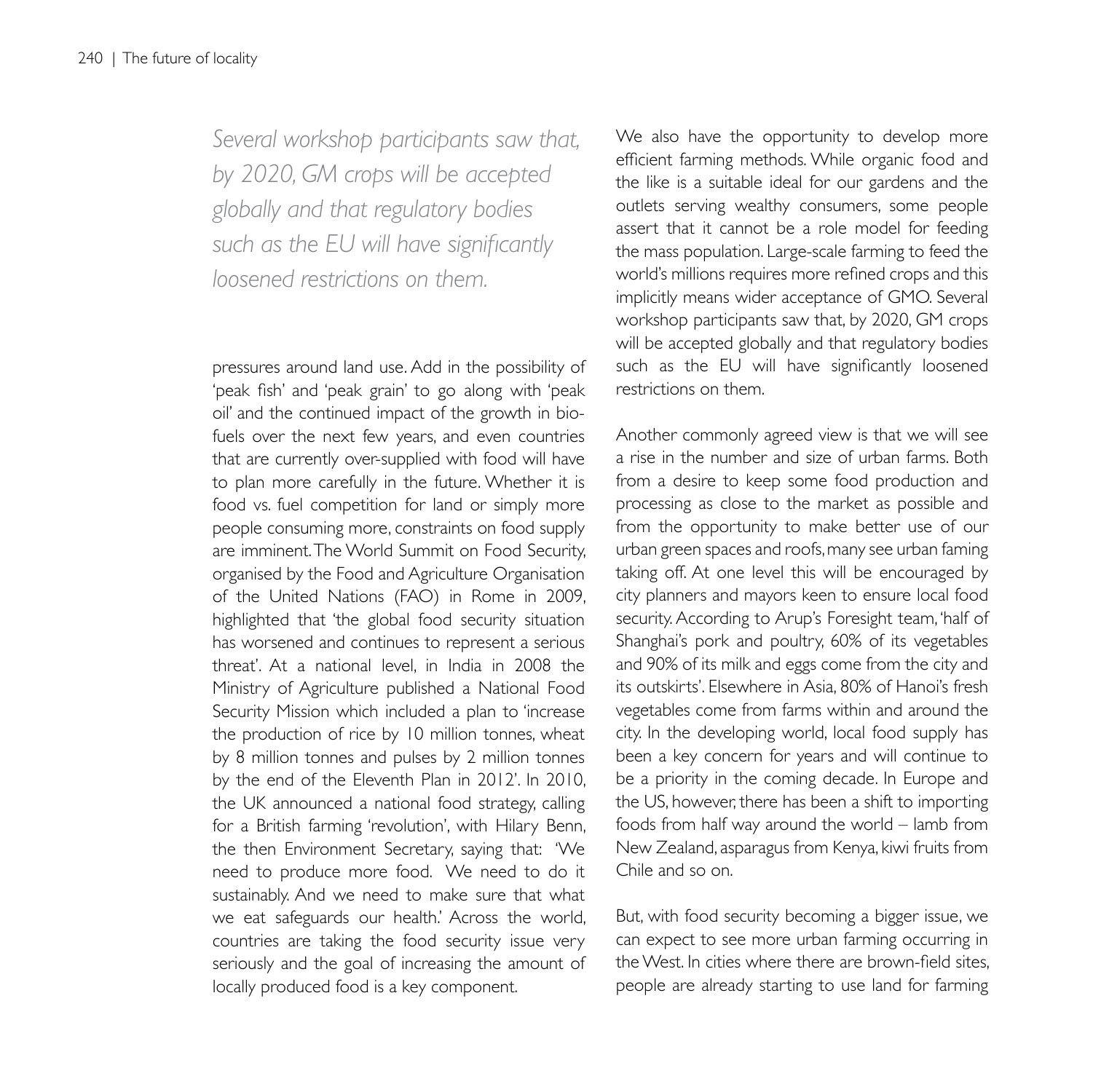Several workshop participants saw that, by 2020, GM crops will be accepted globally and that regulatory bodies such as the EU will have significantly loosened restrictions on them.

pressures around land use. Add in the possibility of 'peak fish' and 'peak grain' to go along with 'peak oil' and the continued impact of the growth in biofuels over the next few years, and even countries that are currently over-supplied with food will have to plan more carefully in the future. Whether it is food vs. fuel competition for land or simply more people consuming more, constraints on food supply are imminent. The World Summit on Food Security. organised by the Food and Agriculture Organisation of the United Nations (FAO) in Rome in 2009, highlighted that 'the global food security situation has worsened and continues to represent a serious threat'. At a national level, in India in 2008 the Ministry of Agriculture published a National Food Security Mission which included a plan to 'increase the production of rice by 10 million tonnes, wheat by 8 million tonnes and pulses by 2 million tonnes by the end of the Eleventh Plan in 2012'. In 2010, the UK announced a national food strategy, calling for a British farming 'revolution', with Hilary Benn, the then Environment Secretary, saying that: 'We need to produce more food. We need to do it sustainably. And we need to make sure that what we eat safeguards our health.' Across the world, countries are taking the food security issue very seriously and the goal of increasing the amount of locally produced food is a key component.

We also have the opportunity to develop more efficient farming methods. While organic food and the like is a suitable ideal for our gardens and the outlets serving wealthy consumers, some people assert that it cannot be a role model for feeding the mass population. Large-scale farming to feed the world's millions requires more refined crops and this implicitly means wider acceptance of GMO. Several workshop participants saw that, by 2020, GM crops will be accepted globally and that regulatory bodies such as the EU will have significantly loosened restrictions on them

Another commonly agreed view is that we will see a rise in the number and size of urban farms. Both from a desire to keep some food production and processing as close to the market as possible and from the opportunity to make better use of our urban green spaces and roofs, many see urban faming taking off. At one level this will be encouraged by city planners and mayors keen to ensure local food security. According to Arup's Foresight team, 'half of Shanghai's pork and poultry, 60% of its vegetables and 90% of its milk and eggs come from the city and its outskirts'. Elsewhere in Asia, 80% of Hanoi's fresh vegetables come from farms within and around the city. In the developing world, local food supply has been a key concern for years and will continue to be a priority in the coming decade. In Europe and the US, however, there has been a shift to importing foods from half way around the world - lamb from New Zealand, asparagus from Kenya, kiwi fruits from  $Chile$  and so on

But, with food security becoming a bigger issue, we can expect to see more urban farming occurring in the West. In cities where there are brown-field sites. people are already starting to use land for farming